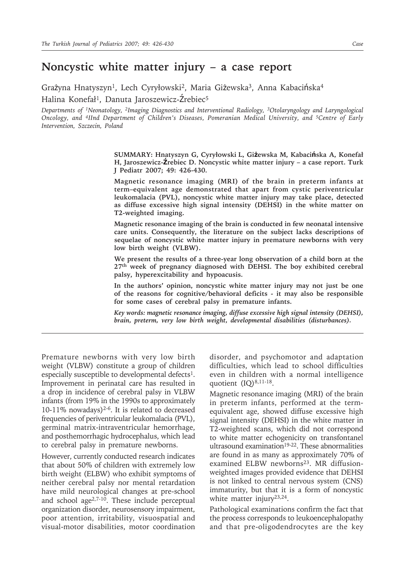## **Noncystic white matter injury – a case report**

Grażyna Hnatyszyn<sup>1</sup>, Lech Cyryłowski<sup>2</sup>, Maria Giżewska<sup>3</sup>, Anna Kabacińska<sup>4</sup> Halina Konefał<sup>1</sup>, Danuta Jaroszewicz-Źrebiec<sup>5</sup>

*Departments of 1Neonatology, 2Imaging Diagnostics and Interventional Radiology, 3Otolaryngology and Laryngological Oncology, and 4IInd Department of Children's Diseases, Pomeranian Medical University, and 5Centre of Early Intervention, Szczecin, Poland*

> **SUMMARY: Hnatyszyn G, Cyryłowski L, Giżewska M, Kabacińska A, Konefał H, Jaroszewicz-Źrebiec D. Noncystic white matter injury – a case report. Turk J Pediatr 2007; 49: 426-430.**

> **Magnetic resonance imaging (MRI) of the brain in preterm infants at term–equivalent age demonstrated that apart from cystic periventricular leukomalacia (PVL), noncystic white matter injury may take place, detected as diffuse excessive high signal intensity (DEHSI) in the white matter on T2-weighted imaging.**

> **Magnetic resonance imaging of the brain is conducted in few neonatal intensive care units. Consequently, the literature on the subject lacks descriptions of sequelae of noncystic white matter injury in premature newborns with very low birth weight (VLBW).**

> **We present the results of a three-year long observation of a child born at the 27th week of pregnancy diagnosed with DEHSI. The boy exhibited cerebral palsy, hyperexcitability and hypoacusis.**

> **In the authors' opinion, noncystic white matter injury may not just be one of the reasons for cognitive/behavioral deficits - it may also be responsible for some cases of cerebral palsy in premature infants.**

> *Key words: magnetic resonance imaging, diffuse excessive high signal intensity (DEHSI), brain, preterm, very low birth weight, developmental disabilities (disturbances).*

Premature newborns with very low birth weight (VLBW) constitute a group of children especially susceptible to developmental defects<sup>1</sup>. Improvement in perinatal care has resulted in a drop in incidence of cerebral palsy in VLBW infants (from 19% in the 1990s to approximately 10-11% nowadays)<sup>2-6</sup>. It is related to decreased frequencies of periventricular leukomalacia (PVL), germinal matrix-intraventricular hemorrhage, and posthemorrhagic hydrocephalus, which lead to cerebral palsy in premature newborns.

However, currently conducted research indicates that about 50% of children with extremely low birth weight (ELBW) who exhibit symptoms of neither cerebral palsy nor mental retardation have mild neurological changes at pre-school and school age2,7-10. These include perceptual organization disorder, neurosensory impairment, poor attention, irritability, visuospatial and visual-motor disabilities, motor coordination

disorder, and psychomotor and adaptation difficulties, which lead to school difficulties even in children with a normal intelligence quotient (IQ)<sup>8,11-18</sup>.

Magnetic resonance imaging (MRI) of the brain in preterm infants, performed at the termequivalent age, showed diffuse excessive high signal intensity (DEHSI) in the white matter in T2-weighted scans, which did not correspond to white matter echogenicity on transfontanel ultrasound examination<sup>19-22</sup>. These abnormalities are found in as many as approximately 70% of examined ELBW newborns<sup>23</sup>. MR diffusionweighted images provided evidence that DEHSI is not linked to central nervous system (CNS) immaturity, but that it is a form of noncystic white matter injury<sup>23,24</sup>.

Pathological examinations confirm the fact that the process corresponds to leukoencephalopathy and that pre-oligodendrocytes are the key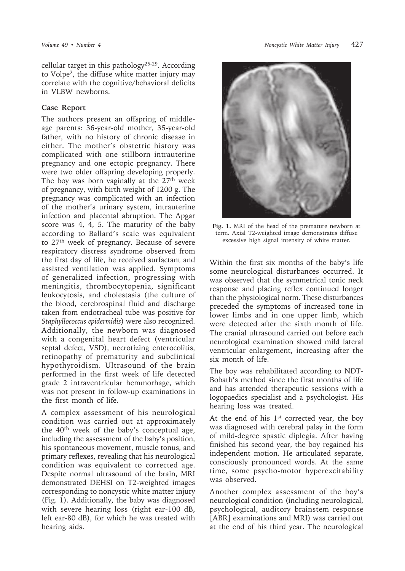cellular target in this pathology25-29. According to Volpe2, the diffuse white matter injury may correlate with the cognitive/behavioral deficits in VLBW newborns.

## **Case Report**

The authors present an offspring of middleage parents: 36-year-old mother, 35-year-old father, with no history of chronic disease in either. The mother's obstetric history was complicated with one stillborn intrauterine pregnancy and one ectopic pregnancy. There were two older offspring developing properly. The boy was born vaginally at the  $27<sup>th</sup>$  week of pregnancy, with birth weight of 1200 g. The pregnancy was complicated with an infection of the mother's urinary system, intrauterine infection and placental abruption. The Apgar score was 4, 4, 5. The maturity of the baby according to Ballard's scale was equivalent to 27th week of pregnancy. Because of severe respiratory distress syndrome observed from the first day of life, he received surfactant and assisted ventilation was applied. Symptoms of generalized infection, progressing with meningitis, thrombocytopenia, significant leukocytosis, and cholestasis (the culture of the blood, cerebrospinal fluid and discharge taken from endotracheal tube was positive for *Staphyllococcus epidermidis*) were also recognized. Additionally, the newborn was diagnosed with a congenital heart defect (ventricular septal defect, VSD), necrotizing enterocolitis, retinopathy of prematurity and subclinical hypothyroidism. Ultrasound of the brain performed in the first week of life detected grade 2 intraventricular hemmorhage, which was not present in follow-up examinations in the first month of life.

A complex assessment of his neurological condition was carried out at approximately the 40th week of the baby's conceptual age, including the assessment of the baby's position, his spontaneous movement, muscle tonus, and primary reflexes, revealing that his neurological condition was equivalent to corrected age. Despite normal ultrasound of the brain, MRI demonstrated DEHSI on T2-weighted images corresponding to noncystic white matter injury (Fig. 1). Additionally, the baby was diagnosed with severe hearing loss (right ear-100 dB, left ear-80 dB), for which he was treated with hearing aids.



**Fig. 1.** MRI of the head of the premature newborn at term. Axial T2-weighted image demonstrates diffuse excessive high signal intensity of white matter.

Within the first six months of the baby's life some neurological disturbances occurred. It was observed that the symmetrical tonic neck response and placing reflex continued longer than the physiological norm. These disturbances preceded the symptoms of increased tone in lower limbs and in one upper limb, which were detected after the sixth month of life. The cranial ultrasound carried out before each neurological examination showed mild lateral ventricular enlargement, increasing after the six month of life.

The boy was rehabilitated according to NDT-Bobath's method since the first months of life and has attended therapeutic sessions with a logopaedics specialist and a psychologist. His hearing loss was treated.

At the end of his  $1<sup>st</sup>$  corrected year, the boy was diagnosed with cerebral palsy in the form of mild-degree spastic diplegia. After having finished his second year, the boy regained his independent motion. He articulated separate, consciously pronounced words. At the same time, some psycho-motor hyperexcitability was observed.

Another complex assessment of the boy's neurological condition (including neurological, psychological, auditory brainstem response [ABR] examinations and MRI) was carried out at the end of his third year. The neurological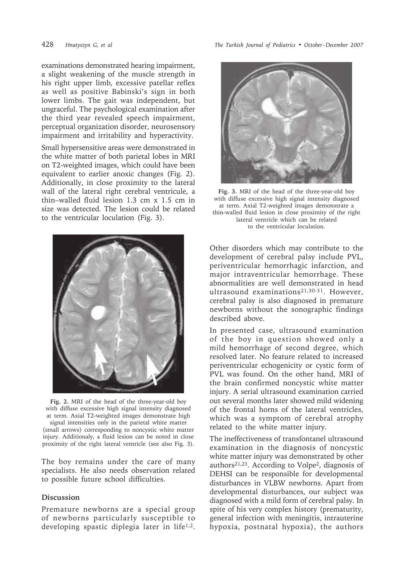examinations demonstrated hearing impairment, a slight weakening of the muscle strength in his right upper limb, excessive patellar reflex as well as positive Babinski's sign in both lower limbs. The gait was independent, but ungraceful. The psychological examination after the third year revealed speech impairment, perceptual organization disorder, neurosensory impairment and irritability and hyperactivity.

Small hypersensitive areas were demonstrated in the white matter of both parietal lobes in MRI on T2-weighted images, which could have been equivalent to earlier anoxic changes (Fig. 2). Additionally, in close proximity to the lateral wall of the lateral right cerebral ventricule, a thin–walled fluid lesion 1.3 cm x 1.5 cm in size was detected. The lesion could be related to the ventricular loculation (Fig. 3).



**Fig. 2.** MRI of the head of the three-year-old boy with diffuse excessive high signal intensity diagnosed at term. Axial T2-weighted images demonstrate high signal intensities only in the parietal white matter

(small arrows) corresponding to noncystic white matter injury. Additionaly, a fluid lesion can be noted in close proximity of the right lateral ventricle (see also Fig. 3).

The boy remains under the care of many specialists. He also needs observation related to possible future school difficulties.

## **Discussion**

Premature newborns are a special group of newborns particularly susceptible to developing spastic diplegia later in life<sup>1,2</sup>.

428 *Hnatyszyn G, et al The Turkish Journal of Pediatrics • October - December 2007*



**Fig. 3.** MRI of the head of the three-year-old boy with diffuse excessive high signal intensity diagnosed at term. Axial T2-weighted images demonstrate a thin-walled fluid lesion in close proximity of the right lateral ventricle which can be related to the ventricular loculation.

Other disorders which may contribute to the development of cerebral palsy include PVL, periventricular hemorrhagic infarction, and major intraventricular hemorrhage. These abnormalities are well demonstrated in head ultrasound examinations21,30-31. However, cerebral palsy is also diagnosed in premature newborns without the sonographic findings described above.

In presented case, ultrasound examination of the boy in question showed only a mild hemorrhage of second degree, which resolved later. No feature related to increased periventricular echogenicity or cystic form of PVL was found. On the other hand, MRI of the brain confirmed noncystic white matter injury. A serial ultrasound examination carried out several months later showed mild widening of the frontal horns of the lateral ventricles, which was a symptom of cerebral atrophy related to the white matter injury.

The ineffectiveness of transfontanel ultrasound examination in the diagnosis of noncystic white matter injury was demonstrated by other authors21,23. According to Volpe2, diagnosis of DEHSI can be responsible for developmental disturbances in VLBW newborns. Apart from developmental disturbances, our subject was diagnosed with a mild form of cerebral palsy. In spite of his very complex history (prematurity, general infection with meningitis, intrauterine hypoxia, postnatal hypoxia), the authors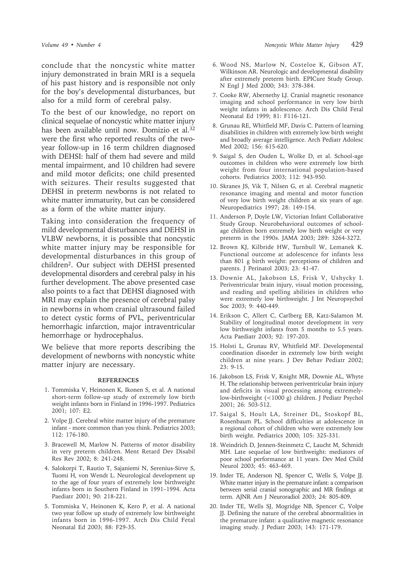conclude that the noncystic white matter injury demonstrated in brain MRI is a sequela of his past history and is responsible not only for the boy's developmental disturbances, but also for a mild form of cerebral palsy.

To the best of our knowledge, no report on clinical sequelae of noncystic white matter injury has been available until now. Domizio et al.32 were the first who reported results of the twoyear follow-up in 16 term children diagnosed with DEHSI: half of them had severe and mild mental impairment, and 10 children had severe and mild motor deficits; one child presented with seizures. Their results suggested that DEHSI in preterm newborns is not related to white matter immaturity, but can be considered as a form of the white matter injury.

Taking into consideration the frequency of mild developmental disturbances and DEHSI in VLBW newborns, it is possible that noncystic white matter injury may be responsible for developmental disturbances in this group of children2. Our subject with DEHSI presented developmental disorders and cerebral palsy in his further development. The above presented case also points to a fact that DEHSI diagnosed with MRI may explain the presence of cerebral palsy in newborns in whom cranial ultrasound failed to detect cystic forms of PVL, periventricular hemorrhagic infarction, major intraventricular hemorrhage or hydrocephalus.

We believe that more reports describing the development of newborns with noncystic white matter injury are necessary.

## **REFERENCES**

- 1. Tommiska V, Heinonen K, Ikonen S, et al. A national short-term follow-up study of extremely low birth weight infants born in Finland in 1996-1997. Pediatrics 2001; 107: E2.
- 2. Volpe JJ. Cerebral white matter injury of the premature infant - more common than you think. Pediatrics 2003; 112: 176-180.
- 3. Bracewell M, Marlow N. Patterns of motor disability in very preterm children. Ment Retard Dev Disabil Res Rev 2002; 8: 241-248.
- 4. Salokorpi T, Rautio T, Sajaniemi N, Serenius-Sirve S, Tuomi H, von Wendt L. Neurological development up to the age of four years of extremely low birthweight infants born in Southern Finland in 1991–1994. Acta Paediatr 2001; 90: 218-221.
- 5. Tommiska V, Heinonen K, Kero P, et al. A national two year follow up study of extremely low birthweight infants born in 1996-1997. Arch Dis Child Fetal Neonatal Ed 2003; 88: F29-35.
- 6. Wood NS, Marlow N, Costeloe K, Gibson AT, Wilkinson AR. Neurologic and developmental disability after extremely preterm birth. EPICure Study Group. N Engl J Med 2000; 343: 378-384.
- 7. Cooke RW, Abernethy LJ. Cranial magnetic resonance imaging and school performance in very low birth weight infants in adolescence. Arch Dis Child Fetal Neonatal Ed 1999; 81: F116-121.
- 8. Grunau RE, Whitfield MF, Davis C. Pattern of learning disabilities in children with extremely low birth weight and broadly average intelligence. Arch Pediatr Adolesc Med 2002; 156: 615-620.
- 9. Saigal S, den Ouden L, Wolke D, et al. School-age outcomes in children who were extremely low birth weight from four international population-based cohorts. Pediatrics 2003; 112: 943-950.
- 10. Skranes JS, Vik T, Nilsen G, et al. Cerebral magnetic resonance imaging and mental and motor function of very low birth weight children at six years of age. Neuropediatrics 1997; 28: 149-154.
- 11. Anderson P, Doyle LW, Victorian Infant Collaborative Study Group. Neurobehavioral outcomes of schoolage children born extremely low birth weight or very preterm in the 1990s. JAMA 2003; 289: 3264-3272.
- 12. Brown KJ, Kilbride HW, Turnbull W, Lemanek K. Functional outcome at adolescence for infants less than 801 g birth weight: perceptions of children and parents. J Perinatol 2003; 23: 41-47.
- 13. Downie AL, Jakobson LS, Frisk V, Ushycky I. Periventricular brain injury, visual motion processing, and reading and spelling abilities in children who were extremely low birthweight. J Int Neuropsychol Soc 2003; 9: 440-449.
- 14. Erikson C, Allert C, Carlberg EB, Katz-Salamon M. Stability of longitudinal motor development in very low birthweight infants from 5 months to 5.5 years. Acta Paediatr 2003; 92: 197-203.
- 15. Holsti L, Grunau RV, Whitfield MF. Developmental coordination disorder in extremely low birth weight children at nine years. J Dev Behav Pediatr 2002; 23: 9-15.
- 16. Jakobson LS, Frisk V, Knight MR, Downie AL, Whyte H. The relationship between periventricular brain injury and deficits in visual processing among extremelylow-birthweight (<1000 g) children. J Pediatr Psychol 2001; 26: 503-512.
- 17. Saigal S, Hoult LA, Streiner DL, Stoskopf BL, Rosenbaum PL. School difficulties at adolescence in a regional cohort of children who were extremely low birth weight. Pediatrics 2000; 105: 325-331.
- 18. Weindrich D, Jennen-Steinmetz C, Laucht M, Schmidt MH. Late sequelae of low birthweight: mediators of poor school performance at 11 years. Dev Med Child Neurol 2003; 45: 463-469.
- 19. Inder TE, Anderson NJ, Spencer C, Wells S, Volpe JJ. White matter injury in the premature infant: a comparison between serial cranial sonographic and MR findings at term. AJNR Am J Neuroradiol 2003; 24: 805-809.
- 20. Inder TE, Wells SJ, Mogridge NB, Spencer C, Volpe JJ. Defining the nature of the cerebral abnormalities in the premature infant: a qualitative magnetic resonance imaging study. J Pediatr 2003; 143: 171-179.